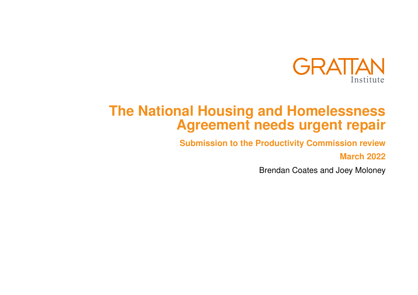

# **The National Housing and Homelessness Agreement needs urgent repair**

**Submission to the Productivity Commission review**

**March 2022**

Brendan Coates and Joey Moloney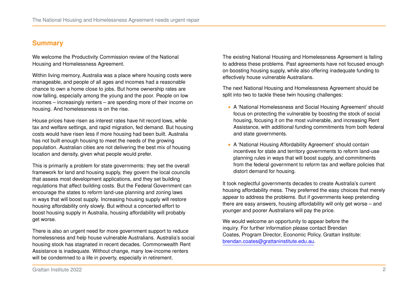# **Summary**

We welcome the Productivity Commission review of the National Housing and Homelessness Agreement.

Within living memory, Australia was a place where housing costs were manageable, and people of all ages and incomes had a reasonable chance to own a home close to jobs. But home ownership rates are now falling, especially among the young and the poor. People on low incomes – increasingly renters – are spending more of their income on housing. And homelessness is on the rise.

House prices have risen as interest rates have hit record lows, while tax and welfare settings, and rapid migration, fed demand. But housing costs would have risen less if more housing had been built. Australia has not built enough housing to meet the needs of the growing population. Australian cities are not delivering the best mix of housing location and density, given what people would prefer.

This is primarily a problem for state governments: they set the overall framework for land and housing supply, they govern the local councils that assess most development applications, and they set building regulations that affect building costs. But the Federal Government can encourage the states to reform land-use planning and zoning laws in ways that will boost supply. Increasing housing supply will restore housing affordability only slowly. But without a concerted effort to boost housing supply in Australia, housing affordability will probably get worse.

There is also an urgent need for more government support to reduce homelessness and help house vulnerable Australians. Australia's social housing stock has stagnated in recent decades. Commonwealth Rent Assistance is inadequate. Without change, many low-income renters will be condemned to a life in poverty, especially in retirement.

The existing National Housing and Homelessness Agreement is failing to address these problems. Past agreements have not focused enough on boosting housing supply, while also offering inadequate funding to effectively house vulnerable Australians.

The next National Housing and Homelessness Agreement should be split into two to tackle these twin housing challenges:

- ∙ A 'National Homelessness and Social Housing Agreement' should focus on protecting the vulnerable by boosting the stock of social housing, focusing it on the most vulnerable, and increasing Rent Assistance, with additional funding commitments from both federal and state governments.
- ∙ A 'National Housing Affordability Agreement' should contain incentives for state and territory governments to reform land-use planning rules in ways that will boost supply, and commitments from the federal government to reform tax and welfare policies that distort demand for housing.

It took neglectful governments decades to create Australia's current housing affordability mess. They preferred the easy choices that merely appear to address the problems. But if governments keep pretending there are easy answers, housing affordability will only get worse – and younger and poorer Australians will pay the price.

We would welcome an opportunity to appear before the inquiry. For further information please contact Brendan Coates, Program Director, Economic Policy, Grattan Institute: [brendan.coates@grattaninstitute.edu.au.](mailto:brendan.coates@grattaninstitute.edu.au)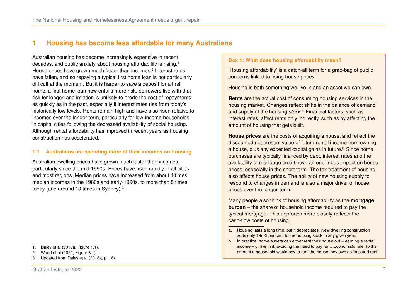# **1 Housing has become less affordable for many Australians**

Australian housing has become increasingly expensive in recent decades, and public anxiety about housing affordability is rising.[1](#page-2-0) House prices have grown much faster than incomes.<sup>[2](#page-2-1)</sup> Interest rates have fallen, and so repaying a typical first home loan is not particularly difficult at the moment. But it is harder to save a deposit for a first home, a first home loan now entails more risk, borrowers live with that risk for longer, and inflation is unlikely to erode the cost of repayments as quickly as in the past, especially if interest rates rise from today's historically low levels. Rents remain high and have also risen relative to incomes over the longer term, particularly for low-income households in capital cities following the decreased availability of social housing. Although rental affordability has improved in recent years as housing construction has accelerated.

#### **1.1 Australians are spending more of their incomes on housing**

Australian dwelling prices have grown much faster than incomes, particularly since the mid-1990s. Prices have risen rapidly in all cities, and most regions. Median prices have increased from about 4 times median incomes in the 1980s and early-1990s, to more than 8 times today (and around 10 times in Sydney).[3](#page-2-2)

<span id="page-2-1"></span>2. Wood et al [\(2022,](#page-25-0) Figure 3.1).

#### **Box 1: What does housing affordability mean?**

'Housing affordability' is a catch-all term for a grab-bag of public concerns linked to rising house prices.

Housing is both something we live in and an asset we can own.

**Rents** are the actual cost of consuming housing services in the housing market. Changes reflect shifts in the balance of demand and supply of the housing *stock*. [a](#page-2-3) Financial factors, such as interest rates, affect rents only indirectly, such as by affecting the amount of housing that gets built.

**House prices** are the costs of acquiring a house, and reflect the discounted net present value of future rental income from owning a house, plus any expected capital gains in future.<sup>[b](#page-2-4)</sup> Since home purchases are typically financed by debt, interest rates and the availability of mortgage credit have an enormous impact on house prices, especially in the short term. The tax treatment of housing also affects house prices. The ability of new housing supply to respond to changes in demand is also a major driver of house prices over the longer-term.

Many people also think of housing affordability as the **mortgage burden** – the share of household income required to pay the typical mortgage. This approach more closely reflects the cash-flow costs of housing.

<span id="page-2-0"></span><sup>1.</sup> Daley et al [\(2018a,](#page-23-0) Figure 1.1).

<span id="page-2-2"></span><sup>3.</sup> Updated from Daley et al [\(2018a,](#page-23-0) p. 16).

<span id="page-2-3"></span>a. Housing lasts a long time, but it depreciates. New dwelling construction adds only 1-to-2 per cent to the housing stock in any given year.

<span id="page-2-4"></span>b. In practice, home buyers can either rent their house out – earning a rental income – or live in it, avoiding the need to pay rent. Economists refer to the amount a household would pay to rent the house they own as 'imputed rent'.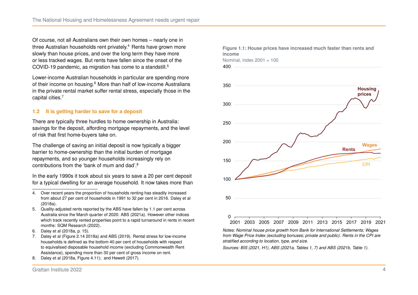Of course, not all Australians own their own homes – nearly one in three Australian households rent privately.<sup>[4](#page-3-0)</sup> Rents have grown more slowly than house prices, and over the long term they have more or less tracked wages. But rents have fallen since the onset of the COVID-19 pandemic, as migration has come to a standstill.<sup>[5](#page-3-1)</sup>

Lower-income Australian households in particular are spending more of their income on housing.<sup>[6](#page-3-2)</sup> More than half of low-income Australians in the private rental market suffer rental stress, especially those in the capital cities.[7](#page-3-3)

# **1.2 It is getting harder to save for a deposit**

There are typically three hurdles to home ownership in Australia: savings for the deposit, affording mortgage repayments, and the level of risk that first home-buyers take on.

The challenge of saving an initial deposit is now typically a bigger barrier to home-ownership than the initial burden of mortgage repayments, and so younger households increasingly rely on contributions from the 'bank of mum and dad'.[8](#page-3-4)

In the early 1990s it took about six years to save a 20 per cent deposit for a typical dwelling for an average household. It now takes more than

- <span id="page-3-0"></span>4. Over recent years the proportion of households renting has steadily increased from about 27 per cent of households in 1991 to 32 per cent in 2016. [Daley et al](#page-23-0) [\(2018a\).](#page-23-0)
- <span id="page-3-1"></span>5. Quality-adjusted rents reported by the ABS have fallen by 1.1 per cent across Australia since the March quarter of 2020: [ABS \(2021a\).](#page-22-0) However other indices which track recently rented properties point to a rapid turnaround in rents in recent months: [SQM Research \(2022\).](#page-24-0)
- <span id="page-3-2"></span>6. Daley et al [\(2018a,](#page-23-0) p. 15).
- <span id="page-3-3"></span>7. Daley et al (Figure 2.14 [2018a\)](#page-23-0) and [ABS \(2019\).](#page-22-1) Rental stress for low-income households is defined as the bottom 40 per cent of households with respect to equivalised disposable household income (excluding Commonwealth Rent Assistance), spending more than 30 per cent of gross income on rent.
- <span id="page-3-4"></span>8. Daley et al [\(2018a,](#page-23-0) Figure 4.11); and [Hewett \(2017\).](#page-23-1)



*Notes: Nominal house price growth from Bank for International Settlements; Wages from Wage Price Index (excluding bonuses; private and public). Rents in the CPI are stratified according to location, type, and size.*

*Sources: BIS [\(2021,](#page-22-2) H1), ABS [\(2021a,](#page-22-0) Tables 1, 7) and ABS [\(2021b,](#page-22-3) Table 1).*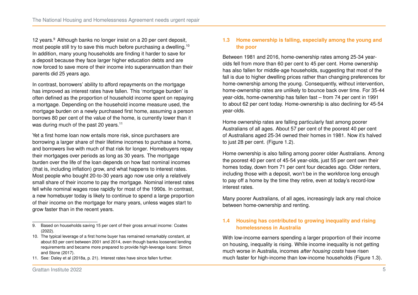12 years.<sup>[9](#page-4-0)</sup> Although banks no longer insist on a 20 per cent deposit, most people still try to save this much before purchasing a dwelling.<sup>[10](#page-4-1)</sup> In addition, many young households are finding it harder to save for a deposit because they face larger higher education debts and are now forced to save more of their income into superannuation than their parents did 25 years ago.

In contrast, borrowers' ability to afford repayments on the mortgage has improved as interest rates have fallen. This 'mortgage burden' is often defined as the proportion of household income spent on repaying a mortgage. Depending on the household income measure used, the mortgage burden on a newly purchased first home, assuming a person borrows 80 per cent of the value of the home, is currently lower than it was during much of the past 20 years.<sup>[11](#page-4-2)</sup>

Yet a first home loan now entails more risk, since purchasers are borrowing a larger share of their lifetime incomes to purchase a home, and borrowers live with much of that risk for longer. Homebuyers repay their mortgages over periods as long as 30 years. The mortgage burden over the life of the loan depends on how fast nominal incomes (that is, including inflation) grow, and what happens to interest rates. Most people who bought 20-to-30 years ago now use only a relatively small share of their income to pay the mortgage. Nominal interest rates fell while nominal wages rose rapidly for most of the 1990s. In contrast, a new homebuyer today is likely to continue to spend a large proportion of their income on the mortgage for many years, unless wages start to grow faster than in the recent years.

#### **1.3 Home ownership is falling, especially among the young and the poor**

Between 1981 and 2016, home-ownership rates among 25-34 yearolds fell from more than 60 per cent to 45 per cent. Home ownership has also fallen for middle-age households, suggesting that most of the fall is due to higher dwelling prices rather than changing preferences for home-ownership among the young. Consequently, without intervention, home-ownership rates are unlikely to bounce back over time. For 35-44 year-olds, home-ownership has fallen fast – from 74 per cent in 1991 to about 62 per cent today. Home-ownership is also declining for 45-54 year-olds.

Home ownership rates are falling particularly fast among poorer Australians of all ages. About 57 per cent of the poorest 40 per cent of Australians aged 25-34 owned their homes in 1981. Now it's halved to just 28 per cent. (Figure [1.2\)](#page-5-0).

Home ownership is also falling among poorer older Australians. Among the poorest 40 per cent of 45-54 year-olds, just 55 per cent own their homes today, down from 71 per cent four decades ago. Older renters, including those with a deposit, won't be in the workforce long enough to pay off a home by the time they retire, even at today's record-low interest rates.

Many poorer Australians, of all ages, increasingly lack any real choice between home-ownership and renting.

## **1.4 Housing has contributed to growing inequality and rising homelessness in Australia**

With low-income earners spending a larger proportion of their income on housing, inequality is rising. While income inequality is not getting much worse in Australia, incomes *after housing costs* have risen much faster for high-income than low-income households (Figure [1.3\)](#page-6-0).

<span id="page-4-0"></span><sup>9.</sup> Based on households saving 15 per cent of their gross annual income: [Coates](#page-22-4) [\(2022\).](#page-22-4)

<span id="page-4-1"></span><sup>10.</sup> The typical leverage of a first home buyer has remained remarkably constant, at about 83 per cent between 2001 and 2014, even though banks loosened lending requirements and became more prepared to provide high-leverage loans: [Simon](#page-24-1) [and Stone \(2017\).](#page-24-1)

<span id="page-4-2"></span><sup>11.</sup> See: Daley et al [\(2018a,](#page-23-0) p. 21). Interest rates have since fallen further.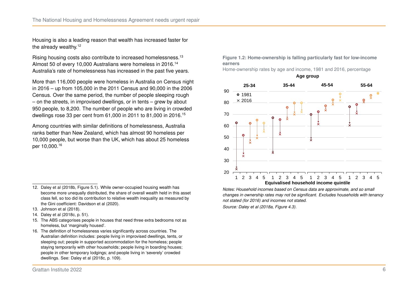Housing is also a leading reason that wealth has increased faster for the already wealthy.<sup>[12](#page-5-1)</sup>

Rising housing costs also contribute to increased homelessness.[13](#page-5-2) Almost 50 of every 10,000 Australians were homeless in 2016.<sup>[14](#page-5-3)</sup> Australia's rate of homelessness has increased in the past five years.

More than 116,000 people were homeless in Australia on Census night in 2016 – up from 105,000 in the 2011 Census and 90,000 in the 2006 Census. Over the same period, the number of people sleeping rough – on the streets, in improvised dwellings, or in tents – grew by about 950 people, to 8,200. The number of people who are living in crowded dwellings rose 33 per cent from 61,000 in 2011 to 81,000 in 2016.[15](#page-5-4)

Among countries with similar definitions of homelessness, Australia ranks better than New Zealand, which has almost 90 homeless per 10,000 people, but worse than the UK, which has about 25 homeless per 10,000.[16](#page-5-5)

- <span id="page-5-2"></span>13. [Johnson et al \(2018\).](#page-24-2)
- <span id="page-5-3"></span>14. Daley et al [\(2018c,](#page-23-4) p. 51).
- <span id="page-5-4"></span>15. The ABS categorises people in houses that need three extra bedrooms not as homeless, but 'marginally housed'.
- <span id="page-5-5"></span>16. The definition of homelessness varies significantly across countries. The Australian definition includes: people living in improvised dwellings, tents, or sleeping out; people in supported accommodation for the homeless; people staying temporarily with other households; people living in boarding houses; people in other temporary lodgings; and people living in 'severely' crowded dwellings. See: Daley et al [\(2018c,](#page-23-4) p. 109).

<span id="page-5-0"></span>**Figure 1.2: Home-ownership is falling particularly fast for low-income earners**

Home-ownership rates by age and income, 1981 and 2016, percentage



*Notes: Household incomes based on Census data are approximate, and so small changes in ownership rates may not be significant. Excludes households with tenancy not stated (for 2016) and incomes not stated.*

*Source: Daley et al [\(2018a,](#page-23-0) Figure 4.3).*

<span id="page-5-1"></span><sup>12.</sup> Daley et al [\(2018b,](#page-23-2) Figure 5.1). While owner-occupied housing wealth has become more unequally distributed, the share of overall wealth held in this asset class fell, so too did its contribution to relative wealth inequality as measured by the Gini coefficient: [Davidson et al \(2020\).](#page-23-3)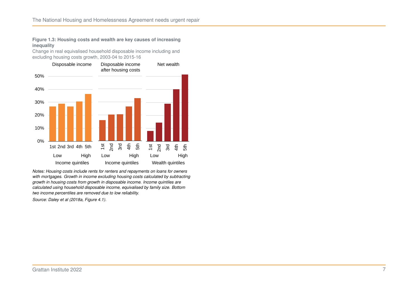#### <span id="page-6-0"></span>**Figure 1.3: Housing costs and wealth are key causes of increasing inequality**

Change in real equivalised household disposable income including and excluding housing costs growth, 2003-04 to 2015-16



*Notes: Housing costs include rents for renters and repayments on loans for owners with mortgages. Growth in income excluding housing costs calculated by subtracting growth in housing costs from growth in disposable income. Income quintiles are calculated using household disposable income, equivalised by family size. Bottom two income percentiles are removed due to low reliability.*

*Source: Daley et al [\(2018a,](#page-23-0) Figure 4.1).*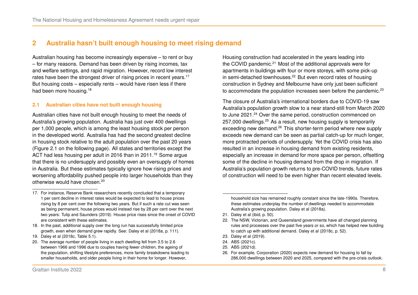# **2 Australia hasn't built enough housing to meet rising demand**

Australian housing has become increasingly expensive – to rent or buy – for many reasons. Demand has been driven by rising incomes, tax and welfare settings, and rapid migration. However, record low interest rates have been the strongest driver of rising prices in recent years.<sup>[17](#page-7-0)</sup> But housing costs – especially rents – would have risen less if there had been more housing.<sup>[18](#page-7-1)</sup>

## **2.1 Australian cities have not built enough housing**

Australian cities have not built enough housing to meet the needs of Australia's growing population. Australia has just over 400 dwellings per 1,000 people, which is among the least housing stock per person in the developed world. Australia has had the second greatest decline in housing stock relative to the adult population over the past 20 years (Figure [2.1](#page-8-0) on the following page). All states and territories except the ACT had less housing per adult in 2016 than in 2011.<sup>[19](#page-7-2)</sup> Some argue that there is no undersupply and possibly even an oversupply of homes in Australia. But these estimates typically ignore how rising prices and worsening affordability pushed people into larger households than they otherwise would have chosen.[20](#page-7-3)

<span id="page-7-1"></span>18. In the past, additional supply over the long run has successfully limited price growth, even when demand grew rapidly. See: Daley et al [\(2018a,](#page-23-0) p. 111).

- <span id="page-7-2"></span>19. Daley et al [\(2018c,](#page-23-4) Table 5.1).
- <span id="page-7-3"></span>20. The average number of people living in each dwelling fell from 3.5 to 2.6 between 1966 and 1996 due to couples having fewer children, the ageing of the population, shifting lifestyle preferences, more family breakdowns leading to smaller households, and older people living in their home for longer. However,

Housing construction had accelerated in the years leading into the COVID pandemic.<sup>[21](#page-7-4)</sup> Most of the additional approvals were for apartments in buildings with four or more storeys, with some pick-up in semi-detached townhouses.[22](#page-7-5) But even record rates of housing construction in Sydney and Melbourne have only just been sufficient to accommodate the population increases seen before the pandemic. $23$ 

The closure of Australia's international borders due to COVID-19 saw Australia's population growth slow to a near stand-still from March 2020 to June 2021.<sup>[24](#page-7-7)</sup> Over the same period, construction commenced on [25](#page-7-8)7,000 dwellings.<sup>25</sup> As a result, new housing supply is temporarily exceeding new demand.<sup>[26](#page-7-9)</sup> This shorter-term period where new supply exceeds new demand can be seen as partial catch-up for much longer, more protracted periods of undersupply. Yet the COVID crisis has also resulted in an increase in housing demand from existing residents, especially an increase in demand for more space per person, offsetting some of the decline in housing demand from the drop in migration. If Australia's population growth returns to pre-COVID trends, future rates of construction will need to be even higher than recent elevated levels.

<span id="page-7-4"></span>21. Daley et al [\(ibid,](#page-23-0) p. 50).

- <span id="page-7-6"></span>23. [Daley et al \(2019\).](#page-23-5)
- <span id="page-7-7"></span>24. [ABS \(2021c\).](#page-22-5)
- <span id="page-7-8"></span>25. [ABS \(2021d\).](#page-22-6)

<span id="page-7-0"></span><sup>17.</sup> For instance, Reserve Bank researchers recently concluded that a temporary 1 per cent decline in interest rates would be expected to lead to house prices rising by 8 per cent over the following two years. But if such a rate cut was seen as being permanent, house prices would instead rise by 28 per cent over the next two years: [Tulip and Saunders \(2019\).](#page-24-3) House price rises since the onset of COVID are consistent with these estimates.

household size has remained roughly constant since the late-1990s. Therefore, these estimates underplay the number of dwellings needed to accommodate Australia's growing population. [Daley et al \(2018a\).](#page-23-0)

<span id="page-7-5"></span><sup>22.</sup> The NSW, Victorian, and Queensland governments have all changed planning rules and processes over the past five years or so, which has helped new building to catch up with additional demand. Daley et al [\(2018c,](#page-23-4) p. 52).

<span id="page-7-9"></span><sup>26.</sup> For example, [Corporation \(2020\)](#page-23-6) expects new demand for housing to fall by 286,000 dwellings between 2020 and 2025, compared with the pre-crisis outlook.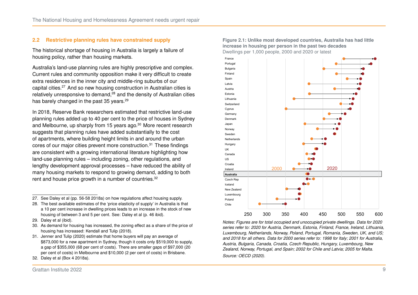#### **2.2 Restrictive planning rules have constrained supply**

The historical shortage of housing in Australia is largely a failure of housing policy, rather than housing markets.

Australia's land-use planning rules are highly prescriptive and complex. Current rules and community opposition make it very difficult to create extra residences in the inner city and middle-ring suburbs of our capital cities.[27](#page-8-1) And so new housing construction in Australian cities is relatively unresponsive to demand.<sup>[28](#page-8-2)</sup> and the density of Australian cities has barely changed in the past 35 years.<sup>[29](#page-8-3)</sup>

In 2018, Reserve Bank researchers estimated that restrictive land-use planning rules added up to 40 per cent to the price of houses in Sydney and Melbourne, up sharply from 15 years ago.<sup>[30](#page-8-4)</sup> More recent research suggests that planning rules have added substantially to the cost of apartments, where building height limits in and around the urban cores of our major cities prevent more construction.<sup>[31](#page-8-5)</sup> These findings are consistent with a growing international literature highlighting how land-use planning rules – including zoning, other regulations, and lengthy development approval processes – have reduced the ability of many housing markets to respond to growing demand, adding to both rent and house price growth in a number of countries.<sup>[32](#page-8-6)</sup>

- <span id="page-8-3"></span>29. [Daley et al \(ibid\).](#page-23-0)
- <span id="page-8-4"></span>30. As demand for housing has increased, the zoning effect as a share of the price of housing has increased: [Kendall and Tulip \(2018\).](#page-24-4)
- <span id="page-8-5"></span>31. [Jenner and Tulip \(2020\)](#page-24-5) estimate that home buyers will pay an average of \$873,000 for a new apartment in Sydney, though it costs only \$519,000 to supply, a gap of \$355,000 (68 per cent of costs). There are smaller gaps of \$97,000 (20 per cent of costs) in Melbourne and \$10,000 (2 per cent of costs) in Brisbane.
- <span id="page-8-6"></span>32. Daley et al (Box 4 [2018a\)](#page-23-0).

<span id="page-8-0"></span>**Figure 2.1: Unlike most developed countries, Australia has had little increase in housing per person in the past two decades** Dwellings per 1,000 people, 2000 and 2020 or latest



*Notes: Figures are for total occupied and unoccupied private dwellings. Data for 2020 series refer to: 2020 for Austria, Denmark, Estonia, Finland, France, Ireland, Lithuania, Luxembourg, Netherlands, Norway, Poland, Portugal, Romania, Sweden, UK, and US; and 2018 for all others. Data for 2000 series refer to: 1998 for Italy; 2001 for Australia, Austria, Bulgaria, Canada, Croatia, Czech Republic, Hungary, Luxembourg, New Zealand, Norway, Portugal, and Spain; 2002 for Chile and Latvia; 2005 for Malta. Source: [OECD \(2020\).](#page-24-6)*

<span id="page-8-1"></span><sup>27.</sup> See Daley et al (pp. 56-58 [2018a\)](#page-23-0) on how regulations affect housing supply.

<span id="page-8-2"></span><sup>28.</sup> The best available estimates of the 'price elasticity of supply' in Australia is that a 10 per cent increase in dwelling prices leads to an increase in the stock of new housing of between 3 and 5 per cent. See: Daley et al (p. 46 [ibid\)](#page-23-0).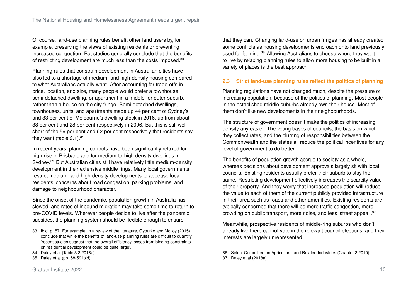Of course, land-use planning rules benefit other land users by, for example, preserving the views of existing residents or preventing increased congestion. But studies generally conclude that the benefits of restricting development are much less than the costs imposed.<sup>[33](#page-9-0)</sup>

Planning rules that constrain development in Australian cities have also led to a shortage of medium- and high-density housing compared to what Australians actually want. After accounting for trade-offs in price, location, and size, many people would prefer a townhouse, semi-detached dwelling, or apartment in a middle- or outer-suburb, rather than a house on the city fringe. Semi-detached dwellings, townhouses, units, and apartments made up 44 per cent of Sydney's and 33 per cent of Melbourne's dwelling stock in 2016, up from about 38 per cent and 28 per cent respectively in 2006. But this is still well short of the 59 per cent and 52 per cent respectively that residents say they want (table  $2.1$ ).<sup>[34](#page-9-1)</sup>

In recent years, planning controls have been significantly relaxed for high-rise in Brisbane and for medium-to-high density dwellings in Sydney.<sup>[35](#page-9-2)</sup> But Australian cities still have relatively little medium-density development in their extensive middle rings. Many local governments restrict medium- and high-density developments to appease local residents' concerns about road congestion, parking problems, and damage to neighbourhood character.

Since the onset of the pandemic, population growth in Australia has slowed, and rates of inbound migration may take some time to return to pre-COVID levels. Wherever people decide to live after the pandemic subsides, the planning system should be flexible enough to ensure

that they can. Changing land-use on urban fringes has already created some conflicts as housing developments encroach onto land previously used for farming.[36](#page-9-3) Allowing Australians to choose where they want to live by relaxing planning rules to allow more housing to be built in a variety of places is the best approach.

#### **2.3 Strict land-use planning rules reflect the politics of planning**

Planning regulations have not changed much, despite the pressure of increasing population, because of the politics of planning. Most people in the established middle suburbs already own their house. Most of them don't like new developments in their neighbourhoods.

The structure of government doesn't make the politics of increasing density any easier. The voting bases of councils, the basis on which they collect rates, and the blurring of responsibilities between the Commonwealth and the states all reduce the political incentives for any level of government to do better.

The benefits of population growth accrue to society as a whole, whereas decisions about development approvals largely sit with local councils. Existing residents usually prefer their suburb to stay the same. Restricting development effectively increases the scarcity value of their property. And they worry that increased population will reduce the value to each of them of the current publicly provided infrastructure in their area such as roads and other amenities. Existing residents are typically concerned that there will be more traffic congestion, more crowding on public transport, more noise, and less 'street appeal'.[37](#page-9-4)

Meanwhile, prospective residents of middle-ring suburbs who don't already live there cannot vote in the relevant council elections, and their interests are largely unrepresented.

<span id="page-9-0"></span><sup>33.</sup> Ibid, p. 57. For example, in a review of the literature, [Gyourko and Molloy \(2015\)](#page-23-7) conclude that while the benefits of land-use planning rules are difficult to quantify, 'recent studies suggest that the overall efficiency losses from binding constraints on residential development could be quite large'.

<span id="page-9-1"></span><sup>34.</sup> Daley et al (Table 3.2 [2018a\)](#page-23-0).

<span id="page-9-2"></span><sup>35.</sup> Daley et al (pp. 58-59 [ibid\)](#page-23-0).

<span id="page-9-3"></span><sup>36.</sup> Select Committee on Agricultural and Related Industries (Chapter 2 [2010\)](#page-24-7).

<span id="page-9-4"></span><sup>37.</sup> [Daley et al \(2018a\).](#page-23-0)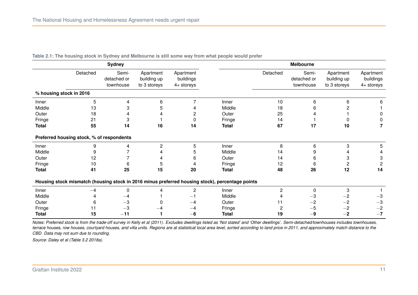| <b>Sydney</b>                                                                                   |          |                                   |                                          |                                        | <b>Melbourne</b> |                |                                   |                                          |                                      |
|-------------------------------------------------------------------------------------------------|----------|-----------------------------------|------------------------------------------|----------------------------------------|------------------|----------------|-----------------------------------|------------------------------------------|--------------------------------------|
|                                                                                                 | Detached | Semi-<br>detached or<br>townhouse | Apartment<br>building up<br>to 3 storeys | Apartment<br>buildings<br>$4+$ storeys |                  | Detached       | Semi-<br>detached or<br>townhouse | Apartment<br>building up<br>to 3 storeys | Apartment<br>buildings<br>4+ storeys |
| % housing stock in 2016                                                                         |          |                                   |                                          |                                        |                  |                |                                   |                                          |                                      |
| Inner                                                                                           | 5        | 4                                 | 6                                        | $\overline{7}$                         | Inner            | 10             | 6                                 | 6                                        | 6                                    |
| Middle                                                                                          | 13       | 3                                 | 5                                        | 4                                      | Middle           | 18             | 6                                 |                                          |                                      |
| Outer                                                                                           | 18       |                                   |                                          | $\mathbf{2}$                           | Outer            | 25             |                                   |                                          | 0                                    |
| Fringe                                                                                          | 21       | 3                                 |                                          | $\mathbf 0$                            | Fringe           | 14             |                                   |                                          |                                      |
| <b>Total</b>                                                                                    | 55       | 14                                | 16                                       | 14                                     | <b>Total</b>     | 67             | 17                                | 10                                       |                                      |
| Preferred housing stock, % of respondents                                                       |          |                                   |                                          |                                        |                  |                |                                   |                                          |                                      |
| Inner                                                                                           | 9        | 4                                 | $\overline{c}$                           | 5                                      | Inner            | 8              | 6                                 | 3                                        | 5                                    |
| Middle                                                                                          | 9        |                                   |                                          | 5                                      | Middle           | 14             |                                   |                                          |                                      |
| Outer                                                                                           | 12       |                                   |                                          | 6                                      | Outer            | 14             | 6                                 | 3                                        | 3                                    |
| Fringe                                                                                          | 10       | 6                                 | 5                                        | 4                                      | Fringe           | 12             | 6                                 | 2                                        | $\overline{c}$                       |
| <b>Total</b>                                                                                    | 41       | 25                                | 15                                       | 20                                     | <b>Total</b>     | 48             | 26                                | 12                                       | 14                                   |
| Housing stock mismatch (housing stock in 2016 minus preferred housing stock), percentage points |          |                                   |                                          |                                        |                  |                |                                   |                                          |                                      |
| Inner                                                                                           | $-4$     | 0                                 | 4                                        | $\overline{c}$                         | Inner            | $\overline{c}$ | $\Omega$                          | 3                                        |                                      |
| Middle                                                                                          |          | $-4$                              |                                          | $-1$                                   | Middle           |                | -3                                | $-2$                                     | $-3$                                 |
| Outer                                                                                           | 6        | $-3$                              | $\Omega$                                 | $-4$                                   | Outer            | 11             | $-2$                              | $-2$                                     | $-3$                                 |
| Fringe                                                                                          | 11       | $-3$                              |                                          |                                        | Fringe           | 2              | $-5$                              | $-2$                                     | $-2$                                 |
| <b>Total</b>                                                                                    | 15       | $-11$                             |                                          | $-6$                                   | <b>Total</b>     | 19             | $-9$                              | $-2$                                     | $-7$                                 |

#### <span id="page-10-0"></span>**Table 2.1: The housing stock in Sydney and Melbourne is still some way from what people would prefer**

*Notes: Preferred stock is from the trade-off survey in [Kelly et al \(2011\).](#page-24-8) Excludes dwellings listed as 'Not stated' and 'Other dwellings'. Semi-detached/townhouses includes townhouses, terrace houses, row houses, courtyard houses, and villa units. Regions are at statistical local area level, sorted according to land price in 2011, and approximately match distance to the CBD. Data may not sum due to rounding.*

*Source: Daley et al (Table 3.2 [2018a\)](#page-23-0).*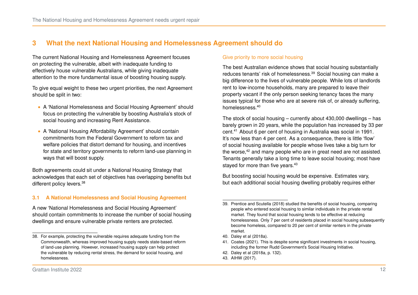# **3 What the next National Housing and Homelessness Agreement should do**

The current National Housing and Homelessness Agreement focuses on protecting the vulnerable, albeit with inadequate funding to effectively house vulnerable Australians, while giving inadequate attention to the more fundamental issue of boosting housing supply.

To give equal weight to these two urgent priorities, the next Agreement should be split in two:

- ∙ A 'National Homelessness and Social Housing Agreement' should focus on protecting the vulnerable by boosting Australia's stock of social housing and increasing Rent Assistance.
- ∙ A 'National Housing Affordability Agreement' should contain commitments from the Federal Government to reform tax and welfare policies that distort demand for housing, and incentives for state and territory governments to reform land-use planning in ways that will boost supply.

Both agreements could sit under a National Housing Strategy that acknowledges that each set of objectives has overlapping benefits but different policy levers.<sup>[38](#page-11-0)</sup>

# **3.1 A National Homelessness and Social Housing Agreement**

A new 'National Homelessness and Social Housing Agreement' should contain commitments to increase the number of social housing dwellings and ensure vulnerable private renters are protected.

## Give priority to more social housing

The best Australian evidence shows that social housing substantially reduces tenants' risk of homelessness.<sup>[39](#page-11-1)</sup> Social housing can make a big difference to the lives of vulnerable people. While lots of landlords rent to low-income households, many are prepared to leave their property vacant if the only person seeking tenancy faces the many issues typical for those who are at severe risk of, or already suffering, homelessness.[40](#page-11-2)

The stock of social housing – currently about 430,000 dwellings – has barely grown in 20 years, while the population has increased by 33 per cent.[41](#page-11-3) About 6 per cent of housing in Australia was social in 1991. It's now less than 4 per cent. As a consequence, there is little 'flow' of social housing available for people whose lives take a big turn for the worse, $42$  and many people who are in great need are not assisted. Tenants generally take a long time to leave social housing; most have stayed for more than five years.<sup>[43](#page-11-5)</sup>

But boosting social housing would be expensive. Estimates vary, but each additional social housing dwelling probably requires either

- <span id="page-11-4"></span>42. Daley et al [\(2018a,](#page-23-0) p. 132).
- <span id="page-11-5"></span>43. [AIHW \(2017\).](#page-22-8)

<span id="page-11-0"></span><sup>38.</sup> For example, protecting the vulnerable requires adequate funding from the Commonwealth, whereas improved housing supply needs state-based reform of land-use planning. However, increased housing supply can help protect the vulnerable by reducing rental stress, the demand for social housing, and homelessness.

<span id="page-11-1"></span><sup>39.</sup> [Prentice and Scutella \(2018\)](#page-24-9) studied the benefits of social housing, comparing people who entered social housing to similar individuals in the private rental market. They found that social housing tends to be effective at reducing homelessness. Only 7 per cent of residents placed in social housing subsequently become homeless, compared to 20 per cent of similar renters in the private market.

<span id="page-11-2"></span><sup>40.</sup> [Daley et al \(2018a\).](#page-23-0)

<span id="page-11-3"></span><sup>41.</sup> [Coates \(2021\).](#page-22-7) This is despite some significant investments in social housing, including the former Rudd Government's Social Housing Initiative.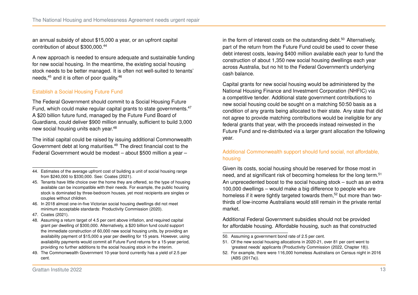an annual subsidy of about \$15,000 a year, or an upfront capital contribution of about \$300,000.[44](#page-12-0)

A new approach is needed to ensure adequate and sustainable funding for new social housing. In the meantime, the existing social housing stock needs to be better managed. It is often not well-suited to tenants' needs,[45](#page-12-1) and it is often of poor quality.[46](#page-12-2)

## Establish a Social Housing Future Fund

The Federal Government should commit to a Social Housing Future Fund, which could make regular capital grants to state governments.<sup>[47](#page-12-3)</sup> A \$20 billion future fund, managed by the Future Fund Board of Guardians, could deliver \$900 million annually, sufficient to build 3,000 new social housing units each year.[48](#page-12-4)

The initial capital could be raised by issuing additional Commonwealth Government debt at long maturities.[49](#page-12-5) The direct financial cost to the Federal Government would be modest – about \$500 million a year –

- <span id="page-12-2"></span>46. In 2018 almost one-in-five Victorian social housing dwellings did not meet minimum acceptable standards: [Productivity Commission \(2020\).](#page-24-10)
- <span id="page-12-3"></span>47. [Coates \(2021\).](#page-22-7)
- <span id="page-12-4"></span>48. Assuming a return target of 4.5 per cent above inflation, and required capital grant per dwelling of \$300,000. Alternatively, a \$20 billion fund could support the immediate construction of 60,000 new social housing units, by providing an availability payment of \$15,000 a year per dwelling for 15 years. However, using availability payments would commit all Future Fund returns for a 15-year period, providing no further additions to the social housing stock in the interim.
- <span id="page-12-5"></span>49. The Commonwealth Government 10-year bond currently has a yield of 2.5 per cent.

in the form of interest costs on the outstanding debt.<sup>[50](#page-12-6)</sup> Alternatively, part of the return from the Future Fund could be used to cover these debt interest costs, leaving \$400 million available each year to fund the construction of about 1,350 new social housing dwellings each year across Australia, but no hit to the Federal Government's underlying cash balance.

Capital grants for new social housing would be administered by the National Housing Finance and Investment Corporation (NHFIC) via a competitive tender. Additional state government contributions to new social housing could be sought on a matching 50:50 basis as a condition of any grants being allocated to their state. Any state that did not agree to provide matching contributions would be ineligible for any federal grants that year, with the proceeds instead reinvested in the Future Fund and re-distributed via a larger grant allocation the following year.

## Additional Commonwealth support should fund social, not affordable, housing

Given its costs, social housing should be reserved for those most in need, and at significant risk of becoming homeless for the long term.<sup>[51](#page-12-7)</sup> An unprecedented boost to the social housing stock – such as an extra 100,000 dwellings – would make a big difference to people who are homeless if it were tightly targeted towards them,<sup>[52](#page-12-8)</sup> but more than twothirds of low-income Australians would still remain in the private rental market.

Additional Federal Government subsidies should not be provided for affordable housing. Affordable housing, such as that constructed

- <span id="page-12-6"></span>50. Assuming a government bond rate of 2.5 per cent.
- <span id="page-12-7"></span>51. Of the new social housing allocations in 2020-21, over 81 per cent went to 'greatest needs' applicants (Productivity Commission [\(2022,](#page-24-11) Chapter 18)).
- <span id="page-12-8"></span>52. For example, there were 116,000 homeless Australians on Census night in 2016 [\(ABS \(2017a\)\)](#page-22-9).

<span id="page-12-0"></span><sup>44.</sup> Estimates of the average upfront cost of building a unit of social housing range from \$240,000 to \$330,000. See: [Coates \(2021\).](#page-22-7)

<span id="page-12-1"></span><sup>45.</sup> Tenants have little choice over the home they are offered, so the type of housing available can be incompatible with their needs. For example, the public housing stock is dominated by three-bedroom houses, yet most recipients are singles or couples without children.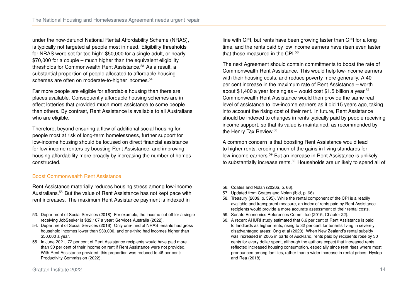under the now-defunct National Rental Affordability Scheme (NRAS), is typically not targeted at people most in need. Eligibility thresholds for NRAS were set far too high: \$50,000 for a single adult, or nearly \$70,000 for a couple – much higher than the equivalent eligibility thresholds for Commonwealth Rent Assistance.<sup>[53](#page-13-0)</sup> As a result, a substantial proportion of people allocated to affordable housing schemes are often on moderate-to-higher incomes.<sup>[54](#page-13-1)</sup>

Far more people are eligible for affordable housing than there are places available. Consequently affordable housing schemes are in effect lotteries that provided much more assistance to some people than others. By contrast, Rent Assistance is available to all Australians who are eligible.

Therefore, beyond ensuring a flow of additional social housing for people most at risk of long-term homelessness, further support for low-income housing should be focused on direct financial assistance for low-income renters by boosting Rent Assistance, and improving housing affordability more broadly by increasing the number of homes constructed.

Boost Commonwealth Rent Assistance

Rent Assistance materially reduces housing stress among low-income Australians.[55](#page-13-2) But the value of Rent Assistance has not kept pace with rent increases. The maximum Rent Assistance payment is indexed in

line with CPI, but rents have been growing faster than CPI for a long time, and the rents paid by low income earners have risen even faster that those measured in the CPI.<sup>[56](#page-13-3)</sup>

The next Agreement should contain commitments to boost the rate of Commonwealth Rent Assistance. This would help low-income earners with their housing costs, and reduce poverty more generally. A 40 per cent increase in the maximum rate of Rent Assistance – worth about \$1,400 a year for singles – would cost \$1,5 billion a year.<sup>[57](#page-13-4)</sup> Commonwealth Rent Assistance would then provide the same real level of assistance to low-income earners as it did 15 years ago, taking into account the rising cost of their rent. In future, Rent Assistance should be indexed to changes in rents typically paid by people receiving income support, so that its value is maintained, as recommended by the Henry Tax Review.[58](#page-13-5)

A common concern is that boosting Rent Assistance would lead to higher rents, eroding much of the gains in living standards for low-income earners.<sup>[59](#page-13-6)</sup> But an increase in Rent Assistance is unlikely to substantially increase rents.<sup>[60](#page-13-7)</sup> Households are unlikely to spend all of

- <span id="page-13-3"></span>56. Coates and Nolan [\(2020a,](#page-22-10) p. 66).
- <span id="page-13-4"></span>57. Updated from Coates and Nolan [\(ibid,](#page-22-10) p. 66).
- <span id="page-13-5"></span>58. Treasury [\(2009,](#page-24-13) p. 595). While the rental component of the CPI is a readily available and transparent measure, an index of rents paid by Rent Assistance recipients would provide a more accurate assessment of their rental costs.
- <span id="page-13-6"></span>59. Senate Economics References Committee [\(2015,](#page-24-14) Chapter 22).
- <span id="page-13-7"></span>60. A recent AHURI study estimated that 6.6 per cent of Rent Assistance is paid to landlords as higher rents, rising to 32 per cent for tenants living in severely disadvantaged areas: [Ong et al \(2020\).](#page-24-15) When New Zealand's rental subsidy was increased in 2005 in parts of Auckland, rents paid by recipients rose by 30 cents for every dollar spent, although the authors expect that increased rents reflected increased housing consumption, especially since rent rises where most pronounced among families, rather than a wider increase in rental prices: [Hyslop](#page-23-10) [and Rea \(2018\).](#page-23-10)

<span id="page-13-0"></span><sup>53.</sup> [Department of Social Services \(2018\).](#page-23-8) For example, the income cut-off for a single receiving JobSeeker is \$32,107 a year: [Services Australia \(2022\).](#page-24-12)

<span id="page-13-1"></span><sup>54.</sup> [Department of Social Services \(2016\).](#page-23-9) Only one-third of NRAS tenants had gross household incomes lower than \$30,000, and one-third had incomes higher than \$50,000 a year.

<span id="page-13-2"></span><sup>55.</sup> In June 2021, 72 per cent of Rent Assistance recipients would have paid more than 30 per cent of their income on rent if Rent Assistance were not provided. With Rent Assistance provided, this proportion was reduced to 46 per cent: [Productivity Commission \(2022\).](#page-24-11)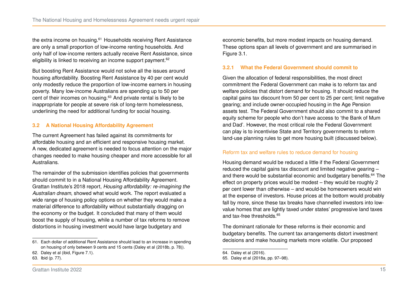the extra income on housing.<sup>[61](#page-14-0)</sup> Households receiving Rent Assistance are only a small proportion of low-income renting households. And only half of low-income renters actually receive Rent Assistance, since eligibility is linked to receiving an income support payment.<sup>[62](#page-14-1)</sup>

But boosting Rent Assistance would not solve all the issues around housing affordability. Boosting Rent Assistance by 40 per cent would only modestly reduce the proportion of low-income earners in housing poverty. Many low-income Australians are spending up to 50 per cent of their incomes on housing.[63](#page-14-2) And private rental is likely to be inappropriate for people at severe risk of long-term homelessness, underlining the need for additional funding for social housing.

#### **3.2 A National Housing Affordability Agreement**

The current Agreement has failed against its commitments for affordable housing and an efficient and responsive housing market. A new, dedicated agreement is needed to focus attention on the major changes needed to make housing cheaper and more accessible for all Australians.

The remainder of the submission identifies policies that governments should commit to in a National Housing Affordability Agreement. Grattan Institute's 2018 report, *Housing affordability: re-imagining the Australian dream*, showed what would work. The report evaluated a wide range of housing policy options on whether they would make a material difference to affordability without substantially dragging on the economy or the budget. It concluded that many of them would boost the supply of housing, while a number of tax reforms to remove distortions in housing investment would have large budgetary and

economic benefits, but more modest impacts on housing demand. These options span all levels of government and are summarised in Figure [3.1.](#page-15-0)

#### **3.2.1 What the Federal Government should commit to**

Given the allocation of federal responsibilities, the most direct commitment the Federal Government can make is to reform tax and welfare policies that distort demand for housing. It should reduce the capital gains tax discount from 50 per cent to 25 per cent; limit negative gearing; and include owner-occupied housing in the Age Pension assets test. The Federal Government should also commit to a shared equity scheme for people who don't have access to 'the Bank of Mum and Dad'. However, the most critical role the Federal Government can play is to incentivise State and Territory governments to reform land-use planning rules to get more housing built (discussed below).

#### Reform tax and welfare rules to reduce demand for housing

Housing demand would be reduced a little if the Federal Government reduced the capital gains tax discount and limited negative gearing – and there would be substantial economic and budgetary benefits.<sup>[64](#page-14-3)</sup> The effect on property prices would be modest – they would be roughly 2 per cent lower than otherwise – and would-be homeowners would win at the expense of investors. House prices at the bottom would probably fall by more, since these tax breaks have channelled investors into lowvalue homes that are lightly taxed under states' progressive land taxes and tax-free thresholds.<sup>[65](#page-14-4)</sup>

The dominant rationale for these reforms is their economic and budgetary benefits. The current tax arrangements distort investment decisions and make housing markets more volatile. Our proposed

<span id="page-14-0"></span><sup>61.</sup> Each dollar of additional Rent Assistance should lead to an increase in spending on housing of only between 9 cents and 15 cents (Daley et al [\(2018b,](#page-23-2) p. 78)).

<span id="page-14-1"></span><sup>62.</sup> Daley et al [\(ibid,](#page-23-2) Figure 7.1).

<span id="page-14-2"></span><sup>63.</sup> Ibid (p. 77).

<span id="page-14-3"></span><sup>64.</sup> [Daley et al \(2016\).](#page-23-11)

<span id="page-14-4"></span><sup>65.</sup> Daley et al [\(2018a,](#page-23-0) pp. 97–98).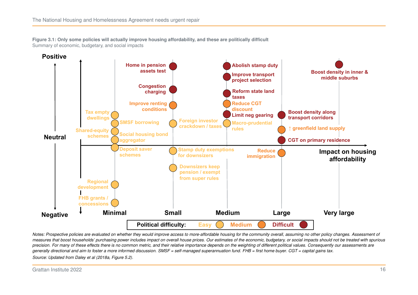<span id="page-15-0"></span>**Figure 3.1: Only some policies will actually improve housing affordability, and these are politically difficult** Summary of economic, budgetary, and social impacts



*Notes: Prospective policies are evaluated on whether they would improve access to more-affordable housing for the community overall, assuming no other policy changes. Assessment of measures that boost households' purchasing power includes impact on overall house prices. Our estimates of the economic, budgetary, or social impacts should not be treated with spurious precision. For many of these effects there is no common metric, and their relative importance depends on the weighting of different political values. Consequently our assessments are generally directional and aim to foster a more informed discussion. SMSF = self-managed superannuation fund. FHB = first home buyer. CGT = capital gains tax. Source: Updated from Daley et al [\(2018a,](#page-23-0) Figure 5.2).*

Grattan Institute 2022 **16**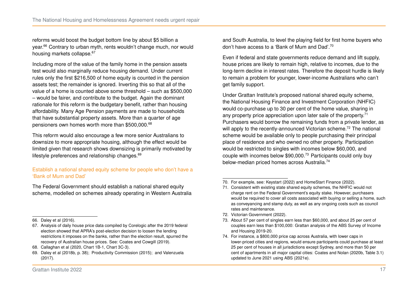reforms would boost the budget bottom line by about \$5 billion a year.<sup>[66](#page-16-0)</sup> Contrary to urban myth, rents wouldn't change much, nor would housing markets collapse.<sup>[67](#page-16-1)</sup>

Including more of the value of the family home in the pension assets test would also marginally reduce housing demand. Under current rules only the first \$216,500 of home equity is counted in the pension assets test; the remainder is ignored. Inverting this so that all of the value of a home is counted above some threshold – such as \$500,000 – would be fairer, and contribute to the budget. Again the dominant rationale for this reform is the budgetary benefit, rather than housing affordability. Many Age Pension payments are made to households that have substantial property assets. More than a quarter of age pensioners own homes worth more than \$500,000.[68](#page-16-2)

This reform would also encourage a few more senior Australians to downsize to more appropriate housing, although the effect would be limited given that research shows downsizing is primarily motivated by lifestyle preferences and relationship changes.<sup>[69](#page-16-3)</sup>

#### Establish a national shared equity scheme for people who don't have a 'Bank of Mum and Dad'

The Federal Government should establish a national shared equity scheme, modelled on schemes already operating in Western Australia and South Australia, to level the playing field for first home buyers who don't have access to a 'Bank of Mum and Dad'.[70](#page-16-4)

Even if federal and state governments reduce demand and lift supply, house prices are likely to remain high, relative to incomes, due to the long-term decline in interest rates. Therefore the deposit hurdle is likely to remain a problem for younger, lower-income Australians who can't get family support.

Under Grattan Institute's proposed national shared equity scheme, the National Housing Finance and Investment Corporation (NHFIC) would co-purchase up to 30 per cent of the home value, sharing in any property price appreciation upon later sale of the property.<sup>[71](#page-16-5)</sup> Purchasers would borrow the remaining funds from a private lender, as will apply to the recently-announced Victorian scheme.<sup>[72](#page-16-6)</sup> The national scheme would be available only to people purchasing their principal place of residence and who owned no other property. Participation would be restricted to singles with incomes below \$60,000, and couple with incomes below \$90,000.[73](#page-16-7) Participants could only buy below-median priced homes across Australia.<sup>[74](#page-16-8)</sup>

<span id="page-16-6"></span>72. [Victorian Government \(2022\).](#page-25-2)

<span id="page-16-0"></span><sup>66.</sup> [Daley et al \(2016\).](#page-23-11)

<span id="page-16-1"></span><sup>67.</sup> Analysis of daily house price data compiled by Corelogic after the 2019 federal election showed that APRA's post-election decision to loosen the lending restrictions it imposes on the banks, rather than the election result, spurred the recovery of Australian house prices. See: [Coates and Cowgill \(2019\).](#page-22-11)

<span id="page-16-2"></span><sup>68.</sup> Callaghan et al [\(2020,](#page-22-12) Chart 1B-1, Chart 3C-3).

<span id="page-16-3"></span><sup>69.</sup> Daley et al [\(2018b,](#page-23-2) p. 38); [Productivity Commission \(2015\);](#page-24-16) and [Valenzuela](#page-25-1) [\(2017\).](#page-25-1)

<span id="page-16-4"></span><sup>70.</sup> For example, see: [Keystart \(2022\)](#page-24-17) and [HomeStart Finance \(2022\).](#page-23-12)

<span id="page-16-5"></span><sup>71.</sup> Consistent with existing state shared equity schemes, the NHFIC would not charge rent on the Federal Government's equity stake. However, purchasers would be required to cover all costs associated with buying or selling a home, such as conveyancing and stamp duty, as well as any ongoing costs such as council rates and maintenance.

<span id="page-16-7"></span><sup>73.</sup> About 57 per cent of singles earn less than \$60,000, and about 25 per cent of couples earn less than \$100,000: Grattan analysis of the ABS Survey of Income and Housing 2019-20.

<span id="page-16-8"></span><sup>74.</sup> For instance, a \$800,000 price cap across Australia, with lower caps in lower-priced cities and regions, would ensure participants could purchase at least 25 per cent of houses in all jurisdictions except Sydney, and more than 50 per cent of apartments in all major capital cities: Coates and Nolan [\(2020b,](#page-22-13) Table 3.1) updated to June 2021 using [ABS \(2021e\).](#page-22-14)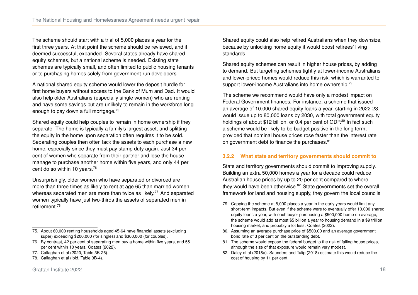The scheme should start with a trial of 5,000 places a year for the first three years. At that point the scheme should be reviewed, and if deemed successful, expanded. Several states already have shared equity schemes, but a national scheme is needed. Existing state schemes are typically small, and often limited to public housing tenants or to purchasing homes solely from government-run developers.

A national shared equity scheme would lower the deposit hurdle for first home buyers without access to the Bank of Mum and Dad. It would also help older Australians (especially single women) who are renting and have some savings but are unlikely to remain in the workforce long enough to pay down a full mortgage.[75](#page-17-0)

Shared equity could help couples to remain in home ownership if they separate. The home is typically a family's largest asset, and splitting the equity in the home upon separation often requires it to be sold. Separating couples then often lack the assets to each purchase a new home, especially since they must pay stamp duty again. Just 34 per cent of women who separate from their partner and lose the house manage to purchase another home within five years, and only 44 per cent do so within 10 years.<sup>[76](#page-17-1)</sup>

Unsurprisingly, older women who have separated or divorced are more than three times as likely to rent at age 65 than married women, whereas separated men are more than twice as likely.<sup>[77](#page-17-2)</sup> And separated women typically have just two-thirds the assets of separated men in retirement<sup>[78](#page-17-3)</sup>

- <span id="page-17-1"></span>76. By contrast, 42 per cent of separating men buy a home within five years, and 55 per cent within 10 years. [Coates \(2022\).](#page-22-4)
- <span id="page-17-2"></span>77. Callaghan et al [\(2020,](#page-22-12) Table 3B-26).
- <span id="page-17-3"></span>78. Callaghan et al [\(ibid,](#page-22-12) Table 3B-4).

Shared equity could also help retired Australians when they downsize, because by unlocking home equity it would boost retirees' living standards.

Shared equity schemes can result in higher house prices, by adding to demand. But targeting schemes tightly at lower-income Australians and lower-priced homes would reduce this risk, which is warranted to support lower-income Australians into home ownership.<sup>[79](#page-17-4)</sup>

The scheme we recommend would have only a modest impact on Federal Government finances. For instance, a scheme that issued an average of 10,000 shared equity loans a year, starting in 2022-23, would issue up to 80,000 loans by 2030, with total government equity holdings of about \$12 billion, or 0.4 per cent of GDP.<sup>[80](#page-17-5)</sup> In fact such a scheme would be likely to be budget positive in the long term, provided that nominal house prices rose faster than the interest rate on government debt to finance the purchases.<sup>[81](#page-17-6)</sup>

## **3.2.2 What state and territory governments should commit to**

State and territory governments should commit to improving supply. Building an extra 50,000 homes a year for a decade could reduce Australian house prices by up to 20 per cent compared to where they would have been otherwise.<sup>[82](#page-17-7)</sup> State governments set the overall framework for land and housing supply, they govern the local councils

- <span id="page-17-5"></span>80. Assuming an average purchase price of \$500,00 and an average government bond rate of 3 per cent on the outstanding debt.
- <span id="page-17-6"></span>81. The scheme would expose the federal budget to the risk of falling house prices, although the size of that exposure would remain very modest.
- <span id="page-17-7"></span>82. [Daley et al \(2018a\).](#page-23-0) [Saunders and Tulip \(2018\)](#page-24-18) estimate this would reduce the cost of housing by 11 per cent.

<span id="page-17-0"></span><sup>75.</sup> About 60,000 renting households aged 45-64 have financial assets (excluding super) exceeding \$200,000 (for singles) and \$300,000 (for couples).

<span id="page-17-4"></span><sup>79.</sup> Capping the scheme at 5,000 places a year in the early years would limit any short-term impacts. But even if the scheme were to eventually offer 10,000 shared equity loans a year, with each buyer purchasing a \$500,000 home on average, the scheme would add at most \$5 billion a year to housing demand in a \$9 trillion housing market, and probably a lot less: [Coates \(2022\).](#page-22-4)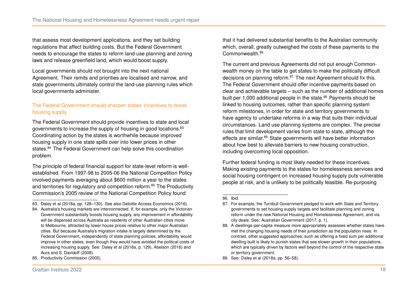that assess most development applications, and they set building regulations that affect building costs. But the Federal Government needs to encourage the states to reform land-use planning and zoning laws and release greenfield land, which would boost supply.

Local governments should not brought into the next national Agreement. Their remits and priorities are localised and narrow, and state governments ultimately control the land-use planning rules which local governments administer.

## The Federal Government should sharpen states' incentives to boost housing supply

The Federal Government should provide incentives to state and local governments to increase the supply of housing in good locations.<sup>[83](#page-18-0)</sup> Coordinating action by the states is worthwhile because improved housing supply in one state spills over into lower prices in other states.<sup>[84](#page-18-1)</sup> The Federal Government can help solve this coordination problem.

The principle of federal financial support for state-level reform is wellestablished. From 1997-98 to 2005-06 the National Competition Policy involved payments averaging about \$600 million a year to the states and territories for regulatory and competition reform.<sup>[85](#page-18-2)</sup> The Productivity Commission's 2005 review of the National Competition Policy found

<span id="page-18-2"></span>85. [Productivity Commission \(2005\).](#page-24-19)

that it had delivered substantial benefits to the Australian community which, overall, greatly outweighed the costs of these payments to the Commonwealth<sup>[86](#page-18-3)</sup>

The current and previous Agreements did not put enough Commonwealth money on the table to get states to make the politically difficult decisions on planning reform.<sup>[87](#page-18-4)</sup> The next Agreement should fix this. The Federal Government should offer incentive payments based on clear and achievable targets – such as the number of additional homes built per 1,000 additional people in the state.<sup>[88](#page-18-5)</sup> Payments should be linked to housing outcomes, rather than specific planning system reform milestones, in order for state and territory governments to have agency to undertake reforms in a way that suits their individual circumstances. Land use planning systems are complex. The precise rules that limit development varies from state to state, although the effects are similar.<sup>[89](#page-18-6)</sup> State governments will have better information about how best to alleviate barriers to new housing construction, including overcoming local opposition.

Further federal funding is most likely needed for these incentives. Making existing payments to the states for homelessness services and social housing contingent on increased housing supply puts vulnerable people at risk, and is unlikely to be politically feasible. Re-purposing

<span id="page-18-0"></span><sup>83.</sup> Daley et al [\(2018a,](#page-23-0) pp. 128–130). See also [Deloitte Access Economics \(2016\).](#page-23-13)

<span id="page-18-1"></span><sup>84.</sup> Australia's housing markets are interconnected. If, for example, only the Victorian Government substantially boosts housing supply, any improvement in affordability will be dispersed across Australia as residents of other Australian cities move to Melbourne, attracted by lower house prices relative to other major Australian cities. But because Australia's migration intake is largely determined by the Federal Government, independently of state planning policies, affordability would improve in other states, even though they would have avoided the political costs of increasing housing supply. See: Daley et al [\(2018a,](#page-23-0) p. 129), [Abelson \(2016\)](#page-22-15) and [Aura and S. Davidoff \(2008\).](#page-22-16)

<span id="page-18-3"></span><sup>86.</sup> Ibid.

<span id="page-18-4"></span><sup>87.</sup> For example, the Turnbull Government pledged to work with State and Territory governments to set housing supply targets and facilitate planning and zoning reform under the new National Housing and Homelessness Agreement, and via city deals. See: Australian Government [\(2017,](#page-22-17) p. 1).

<span id="page-18-5"></span><sup>88.</sup> A dwellings-per-capita measure more appropriately assesses whether states have met the changing housing needs of their jurisdiction as the population rises. In contrast, other suggested approaches, such as offering a fixed sum per additional dwelling built is likely to punish states that see slower growth in their populations, which are typically driven by factors well beyond the control of the respective state or territory government.

<span id="page-18-6"></span><sup>89.</sup> See: Daley et al [\(2018a,](#page-23-0) pp. 56–58).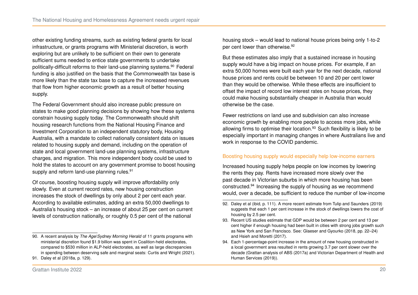other existing funding streams, such as existing federal grants for local infrastructure, or grants programs with Ministerial discretion, is worth exploring but are unlikely to be sufficient on their own to generate sufficient sums needed to entice state governments to undertake politically-difficult reforms to their land-use planning systems.[90](#page-19-0) Federal funding is also justified on the basis that the Commonwealth tax base is more likely than the state tax base to capture the increased revenues that flow from higher economic growth as a result of better housing supply.

The Federal Government should also increase public pressure on states to make good planning decisions by showing how these systems constrain housing supply today. The Commonwealth should shift housing research functions from the National Housing Finance and Investment Corporation to an independent statutory body, Housing Australia, with a mandate to collect nationally consistent data on issues related to housing supply and demand, including on the operation of state and local government land-use planning systems, infrastructure charges, and migration. This more independent body could be used to hold the states to account on any government promise to boost housing supply and reform land-use planning rules.<sup>[91](#page-19-1)</sup>

Of course, boosting housing supply will improve affordability only slowly. Even at current record rates, new housing construction increases the stock of dwellings by only about 2 per cent each year. According to available estimates, adding an extra 50,000 dwellings to Australia's housing stock – an increase of about 25 per cent on current levels of construction nationally, or roughly 0.5 per cent of the national

housing stock – would lead to national house prices being only 1-to-2 per cent lower than otherwise.<sup>[92](#page-19-2)</sup>

But these estimates also imply that a sustained increase in housing supply would have a big impact on house prices. For example, if an extra 50,000 homes were built each year for the next decade, national house prices and rents could be between 10 and 20 per cent lower than they would be otherwise. While these effects are insufficient to offset the impact of record low interest rates on house prices, they could make housing substantially cheaper in Australia than would otherwise be the case.

Fewer restrictions on land use and subdivision can also increase economic growth by enabling more people to access more jobs, while allowing firms to optimise their location.<sup>[93](#page-19-3)</sup> Such flexibility is likely to be especially important in managing changes in where Australians live and work in response to the COVID pandemic.

#### Boosting housing supply would especially help low-income earners

Increased housing supply helps people on low incomes by lowering the rents they pay. Rents have increased more slowly over the past decade in Victorian suburbs in which more housing has been constructed.[94](#page-19-4) Increasing the supply of housing as we recommend would, over a decade, be sufficient to reduce the number of low-income

<span id="page-19-0"></span><sup>90.</sup> A recent analysis by *The Age*/*Sydney Morning Herald* of 11 grants programs with ministerial discretion found \$1.9 billion was spent in Coalition-held electorates, compared to \$530 million in ALP-held electorates, as well as large discrepancies in spending between deserving safe and marginal seats: [Curtis and Wright \(2021\).](#page-23-14)

<span id="page-19-1"></span><sup>91.</sup> Daley et al [\(2018a,](#page-23-0) p. 129).

<span id="page-19-2"></span><sup>92.</sup> Daley et al [\(ibid,](#page-23-0) p. 111). A more recent estimate from [Tulip and Saunders \(2019\)](#page-24-3) suggests that each 1 per cent increase in the stock of dwellings lowers the cost of housing by 2.5 per cent.

<span id="page-19-3"></span><sup>93.</sup> Recent US studies estimate that GDP would be between 2 per cent and 13 per cent higher if enough housing had been built in cities with strong jobs growth such as New York and San Francisco. See: Glaeser and Gyourko [\(2018,](#page-23-15) pp. 22–24) and [Hsieh and Moretti \(2017\).](#page-23-16)

<span id="page-19-4"></span><sup>94.</sup> Each 1-percentage-point increase in the amount of new housing constructed in a local government area resulted in rents growing 3.7 per cent slower over the decade (Grattan analysis of [ABS \(2017a\)](#page-22-9) and [Victorian Department of Health and](#page-25-3) [Human Services \(2019\)\)](#page-25-3).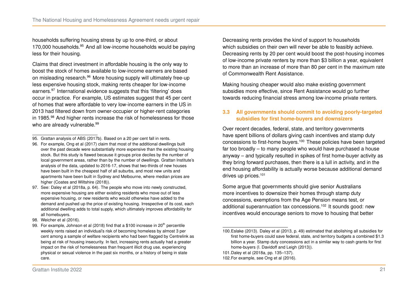households suffering housing stress by up to one-third, or about 170,000 households.<sup>[95](#page-20-0)</sup> And all low-income households would be paying less for their housing.

Claims that direct investment in affordable housing is the only way to boost the stock of homes available to low-income earners are based on misleading research.<sup>[96](#page-20-1)</sup> More housing supply will ultimately free-up less expensive housing stock, making rents cheaper for low-income earners.<sup>[97](#page-20-2)</sup> International evidence suggests that this 'filtering' does occur in practice. For example, US estimates suggest that 45 per cent of homes that were affordable to very low-income earners in the US in 2013 had filtered down from owner-occupier or higher-rent categories in 1[98](#page-20-3)5.<sup>98</sup> And higher rents increase the risk of homelessness for those who are already vulnerable.<sup>[99](#page-20-4)</sup>

- <span id="page-20-0"></span>95. Grattan analysis of [ABS \(2017b\).](#page-22-18) Based on a 20 per cent fall in rents.
- <span id="page-20-1"></span>96. For example, [Ong et al \(2017\)](#page-24-20) claim that most of the additional dwellings built over the past decade were substantially more expensive than the existing housing stock. But this study is flawed because it groups price deciles by the number of local government areas, rather than by the number of dwellings. Grattan Institute's analysis of the data, updated to 2016-17, shows that two-thirds of new houses have been built in the cheapest half of all suburbs, and most new units and apartments have been built in Sydney and Melbourne, where median prices are higher [\(Coates and Wiltshire \(2018\)\)](#page-22-19).
- <span id="page-20-2"></span>97. See: Daley et al [\(2018a,](#page-23-0) p. 64). The people who move into newly constructed, more expensive housing are either existing residents who move out of less expensive housing, or new residents who would otherwise have added to the demand and pushed up the price of existing housing. Irrespective of its cost, each additional dwelling adds to total supply, which ultimately improves affordability for all homebuyers.
- <span id="page-20-3"></span>98. [Weicher et al \(2016\).](#page-25-4)

<span id="page-20-4"></span>99. For example, Johnson et al  $(2018)$  find that a \$100 increase in  $20<sup>th</sup>$  percentile weekly rents raised an individual's risk of becoming homeless by almost 3 per cent among a sample of welfare recipients who had been flagged by Centrelink as being at risk of housing insecurity. In fact, increasing rents actually had a greater impact on the risk of homelessness than frequent illicit drug use, experiencing physical or sexual violence in the past six months, or a history of being in state care.

Decreasing rents provides the kind of support to households which subsidies on their own will never be able to feasibly achieve. Decreasing rents by 20 per cent would boost the post-housing incomes of low-income private renters by more than \$3 billion a year, equivalent to more than an increase of more than 80 per cent in the maximum rate of Commonwealth Rent Assistance.

Making housing cheaper would also make existing government subsidies more effective, since Rent Assistance would go further towards reducing financial stress among low-income private renters.

#### **3.3 All governments should commit to avoiding poorly-targeted subsidies for first home-buyers and downsizers**

Over recent decades, federal, state, and territory governments have spent billions of dollars giving cash incentives and stamp duty concessions to first-home buyers.[100](#page-20-5) These policies have been targeted far too broadly – to many people who would have purchased a house anyway – and typically resulted in spikes of first home-buyer activity as they bring forward purchases, then there is a lull in activity, and in the end housing affordability is actually worse because additional demand drives up prices.<sup>[101](#page-20-6)</sup>

Some argue that governments should give senior Australians more incentives to downsize their homes through stamp duty concessions, exemptions from the Age Pension means test, or additional superannuation tax concessions.[102](#page-20-7) It sounds good: new incentives would encourage seniors to move to housing that better

<span id="page-20-5"></span><sup>100</sup>[.Eslake \(2013\).](#page-23-17) Daley et al [\(2013,](#page-23-18) p. 49) estimated that abolishing all subsidies for first home-buyers could save federal, state, and territory budgets a combined \$1.3 billion a year. Stamp duty concessions act in a similar way to cash grants for first home-buyers [\(I. Davidoff and Leigh \(2013\)\)](#page-23-19).

<span id="page-20-7"></span><span id="page-20-6"></span><sup>101.</sup>Daley et al [\(2018a,](#page-23-0) pp. 135–137).

<sup>102.</sup>For example, see [Ong et al \(2016\).](#page-24-21)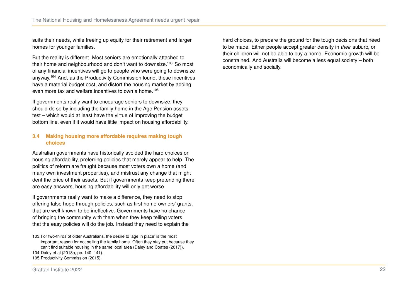suits their needs, while freeing up equity for their retirement and larger homes for younger families.

But the reality is different. Most seniors are emotionally attached to their home and neighbourhood and don't want to downsize.<sup>[103](#page-21-0)</sup> So most of any financial incentives will go to people who were going to downsize anyway.[104](#page-21-1) And, as the Productivity Commission found, these incentives have a material budget cost, and distort the housing market by adding even more tax and welfare incentives to own a home.[105](#page-21-2)

If governments really want to encourage seniors to downsize, they should do so by including the family home in the Age Pension assets test – which would at least have the virtue of improving the budget bottom line, even if it would have little impact on housing affordability.

#### **3.4 Making housing more affordable requires making tough choices**

Australian governments have historically avoided the hard choices on housing affordability, preferring policies that merely appear to help. The politics of reform are fraught because most voters own a home (and many own investment properties), and mistrust any change that might dent the price of their assets. But if governments keep pretending there are easy answers, housing affordability will only get worse.

If governments really want to make a difference, they need to stop offering false hope through policies, such as first home-owners' grants, that are well-known to be ineffective. Governments have no chance of bringing the community with them when they keep telling voters that the easy policies will do the job. Instead they need to explain the

hard choices, to prepare the ground for the tough decisions that need to be made. Either people accept greater density in *their* suburb, or their children will not be able to buy a home. Economic growth will be constrained. And Australia will become a less equal society – both economically and socially.

<span id="page-21-2"></span><span id="page-21-1"></span><span id="page-21-0"></span><sup>103.</sup>For two-thirds of older Australians, the desire to 'age in place' is the most important reason for not selling the family home. Often they stay put because they can't find suitable housing in the same local area [\(Daley and Coates \(2017\)\)](#page-23-20). 104.Daley et al [\(2018a,](#page-23-0) pp. 140–141). 105[.Productivity Commission \(2015\).](#page-24-16)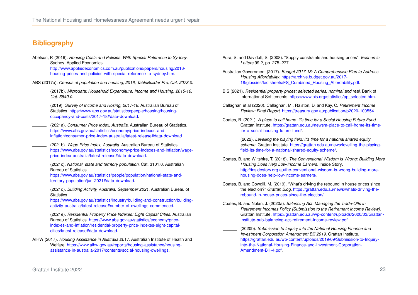# **Bibliography**

- <span id="page-22-15"></span>Abelson, P. (2016). *Housing Costs and Policies: With Special Reference to Sydney*. Sydney: Applied Economics. [http://www.appliedeconomics.com.au/publications/papers/housing/2016](http://www.appliedeconomics.com.au/publications/papers/housing/2016-housing-prices-and-policies-with-special-reference-to-sydney.htm) [housing-prices-and-policies-with-special-reference-to-sydney.htm.](http://www.appliedeconomics.com.au/publications/papers/housing/2016-housing-prices-and-policies-with-special-reference-to-sydney.htm)
- <span id="page-22-9"></span>ABS (2017a). *Census of population and housing, 2016, TableBuilder Pro, Cat. 2073.0*.
- <span id="page-22-18"></span>(2017b). *Microdata: Household Expenditure, Income and Housing, 2015-16, Cat. 6540.0.*
- <span id="page-22-1"></span>(2019). *Survey of Income and Hosing, 2017-18*. Australian Bureau of Statistics. [https://www.abs.gov.au/statistics/people/housing/housing](https://www.abs.gov.au/statistics/people/housing/housing-occupancy-and-costs/2017-18#data-download)[occupancy-and-costs/2017-18#data-download.](https://www.abs.gov.au/statistics/people/housing/housing-occupancy-and-costs/2017-18#data-download)
- <span id="page-22-0"></span>(2021a). *Consumer Price Index, Australia*. Australian Bureau of Statistics. [https://www.abs.gov.au/statistics/economy/price-indexes-and](https://www.abs.gov.au/statistics/economy/price-indexes-and-inflation/consumer-price-index-australia/latest-release#data-download)[inflation/consumer-price-index-australia/latest-release#data-download.](https://www.abs.gov.au/statistics/economy/price-indexes-and-inflation/consumer-price-index-australia/latest-release#data-download)
- <span id="page-22-3"></span>(2021b). *Wage Price Index, Australia*. Australian Bureau of Statistics. [https://www.abs.gov.au/statistics/economy/price-indexes-and-inflation/wage](https://www.abs.gov.au/statistics/economy/price-indexes-and-inflation/wage-price-index-australia/latest-release#data-download)[price-index-australia/latest-release#data-download.](https://www.abs.gov.au/statistics/economy/price-indexes-and-inflation/wage-price-index-australia/latest-release#data-download)
- <span id="page-22-5"></span>(2021c). *National, state and territory population*. Cat. 3101.0. Australian Bureau of Statistics.

[https://www.abs.gov.au/statistics/people/population/national-state-and](https://www.abs.gov.au/statistics/people/population/national-state-and-territory-population/jun-2021#data-download)[territory-population/jun-2021#data-download.](https://www.abs.gov.au/statistics/people/population/national-state-and-territory-population/jun-2021#data-download)

<span id="page-22-6"></span>(2021d). *Building Activity, Australia, September 2021*. Australian Bureau of Statistics.

[https://www.abs.gov.au/statistics/industry/building-and-construction/building](https://www.abs.gov.au/statistics/industry/building-and-construction/building-activity-australia/latest-release#number-of-dwellings-commenced)[activity-australia/latest-release#number-of-dwellings-commenced.](https://www.abs.gov.au/statistics/industry/building-and-construction/building-activity-australia/latest-release#number-of-dwellings-commenced)

- <span id="page-22-14"></span>(2021e). *Residential Property Price Indexes: Eight Capital Cities*. Australian Bureau of Statistics. [https://www.abs.gov.au/statistics/economy/price](https://www.abs.gov.au/statistics/economy/price-indexes-and-inflation/residential-property-price-indexes-eight-capital-cities/latest-release#data-download)[indexes-and-inflation/residential-property-price-indexes-eight-capital](https://www.abs.gov.au/statistics/economy/price-indexes-and-inflation/residential-property-price-indexes-eight-capital-cities/latest-release#data-download)[cities/latest-release#data-download.](https://www.abs.gov.au/statistics/economy/price-indexes-and-inflation/residential-property-price-indexes-eight-capital-cities/latest-release#data-download)
- <span id="page-22-8"></span>AIHW (2017). *Housing Assistance in Australia 2017*. Australian Institute of Health and Welfare. [https://www.aihw.gov.au/reports/housing-assistance/housing](https://www.aihw.gov.au/reports/housing-assistance/housing-assistance-in-australia-2017/contents/social-housing-dwellings)[assistance-in-australia-2017/contents/social-housing-dwellings.](https://www.aihw.gov.au/reports/housing-assistance/housing-assistance-in-australia-2017/contents/social-housing-dwellings)
- <span id="page-22-16"></span>Aura, S. and Davidoff, S. (2008). "Supply constraints and housing prices". *Economic Letters* 99.2, pp. 275–277.
- <span id="page-22-17"></span>Australian Government (2017). *Budget 2017-18: A Comprehensive Plan to Address Housing Affordability*. [https://archive.budget.gov.au/2017-](https://archive.budget.gov.au/2017-18/glossies/factsheets/FS_Combined_Housing_Affordability.pdf) [18/glossies/factsheets/FS\\_Combined\\_Housing\\_Affordability.pdf.](https://archive.budget.gov.au/2017-18/glossies/factsheets/FS_Combined_Housing_Affordability.pdf)
- <span id="page-22-2"></span>BIS (2021). *Residential property prices: selected series, nominal and real*. Bank of International Settlements. [https://www.bis.org/statistics/pp\\_selected.htm.](https://www.bis.org/statistics/pp_selected.htm)
- <span id="page-22-12"></span>Callaghan et al (2020). Callaghan, M., Ralston, D. and Kay, C. *Retirement Income Review: Final Report*. [https://treasury.gov.au/publication/p2020-100554.](https://treasury.gov.au/publication/p2020-100554)
- <span id="page-22-7"></span>Coates, B. (2021). *A place to call home: it's time for a Social Housing Future Fund*. Grattan Institute. [https://grattan.edu.au/news/a-place-to-call-home-its-time](https://grattan.edu.au/news/a-place-to-call-home-its-time-for-a-social-housing-future-fund/)[for-a-social-housing-future-fund/.](https://grattan.edu.au/news/a-place-to-call-home-its-time-for-a-social-housing-future-fund/)
- <span id="page-22-4"></span>(2022). *Levelling the playing field: it's time for a national shared equity scheme*. Grattan Institute. [https://grattan.edu.au/news/levelling-the-playing](https://grattan.edu.au/news/levelling-the-playing-field-its-time-for-a-national-shared-equity-scheme/)[field-its-time-for-a-national-shared-equity-scheme/.](https://grattan.edu.au/news/levelling-the-playing-field-its-time-for-a-national-shared-equity-scheme/)
- <span id="page-22-19"></span>Coates, B. and Wiltshire, T. (2018). *The Conventional Wisdom Is Wrong: Building More Housing Does Help Low-Income Earners*. Inside Story. [http://insidestory.org.au/the-conventional-wisdom-is-wrong-building-more](http://insidestory.org.au/the-conventional-wisdom-is-wrong-building-more-housing-does-help-low-income-earners/)[housing-does-help-low-income-earners/.](http://insidestory.org.au/the-conventional-wisdom-is-wrong-building-more-housing-does-help-low-income-earners/)
- <span id="page-22-11"></span>Coates, B. and Cowgill, M. (2019). "What's driving the rebound in house prices since the election?" *Grattan Blog*. [https://grattan.edu.au/news/whats-driving-the](https://grattan.edu.au/news/whats-driving-the-rebound-in-house-prices-since-the-election/)[rebound-in-house-prices-since-the-election/.](https://grattan.edu.au/news/whats-driving-the-rebound-in-house-prices-since-the-election/)
- <span id="page-22-10"></span>Coates, B. and Nolan, J. (2020a). *Balancing Act: Managing the Trade-Offs in Retirement Incomes Policy (Submission to the Retirement Income Review)*. Grattan Institute. [https://grattan.edu.au/wp-content/uploads/2020/03/Grattan-](https://grattan.edu.au/wp-content/uploads/2020/03/Grattan-Institute-sub-balancing-act-retirement-income-review.pdf)[Institute-sub-balancing-act-retirement-income-review.pdf.](https://grattan.edu.au/wp-content/uploads/2020/03/Grattan-Institute-sub-balancing-act-retirement-income-review.pdf)
- <span id="page-22-13"></span>(2020b). *Submission to Inquiry into the National Housing Finance and Investment Corporation Amendment Bill 2019*. Grattan Institute. [https://grattan.edu.au/wp-content/uploads/2019/09/Submission-to-Inquiry](https://grattan.edu.au/wp-content/uploads/2019/09/Submission-to-Inquiry-into-the-National-Housing-Finance-and-Investment-Corporation-Amendment-Bill-4.pdf)[into-the-National-Housing-Finance-and-Investment-Corporation-](https://grattan.edu.au/wp-content/uploads/2019/09/Submission-to-Inquiry-into-the-National-Housing-Finance-and-Investment-Corporation-Amendment-Bill-4.pdf)[Amendment-Bill-4.pdf.](https://grattan.edu.au/wp-content/uploads/2019/09/Submission-to-Inquiry-into-the-National-Housing-Finance-and-Investment-Corporation-Amendment-Bill-4.pdf)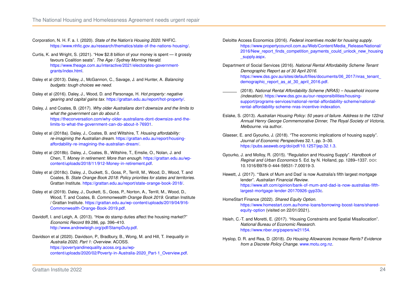<span id="page-23-6"></span>Corporation, N. H. F. a. I. (2020). *State of the Nation's Housing 2020*. NHFIC. [https://www.nhfic.gov.au/research/thematics/state-of-the-nations-housing/.](https://www.nhfic.gov.au/research/thematics/state-of-the-nations-housing/)

- <span id="page-23-14"></span>Curtis, K. and Wright, S. (2021). "How \$2.8 billion of your money is spent — it grossly favours Coalition seats". *The Age / Sydney Morning Herald*. [https://www.theage.com.au/interactive/2021/electorates-government](https://www.theage.com.au/interactive/2021/electorates-government-grants/index.html)[grants/index.html.](https://www.theage.com.au/interactive/2021/electorates-government-grants/index.html)
- <span id="page-23-18"></span>Daley et al (2013). Daley, J., McGannon, C., Savage, J. and Hunter, A. *Balancing budgets: tough choices we need*.
- <span id="page-23-11"></span>Daley et al (2016). Daley, J., Wood, D. and Parsonage, H. *Hot property: negative gearing and capital gains tax*. [https://grattan.edu.au/report/hot-property/.](https://grattan.edu.au/report/hot-property/)
- <span id="page-23-20"></span>Daley, J. and Coates, B. (2017). *Why older Australians don't downsize and the limits to what the government can do about it*. [https://theconversation.com/why-older-australians-dont-downsize-and-the](https://theconversation.com/why-older-australians-dont-downsize-and-the-limits-to-what-the-government-can-do-about-it-76931)[limits-to-what-the-government-can-do-about-it-76931.](https://theconversation.com/why-older-australians-dont-downsize-and-the-limits-to-what-the-government-can-do-about-it-76931)
- <span id="page-23-0"></span>Daley et al (2018a). Daley, J., Coates, B. and Wiltshire, T. *Housing affordability: re-imagining the Australian dream*. [https://grattan.edu.au/report/housing](https://grattan.edu.au/report/housing-affordability-re-imagining-the-australian-dream/)[affordability-re-imagining-the-australian-dream/.](https://grattan.edu.au/report/housing-affordability-re-imagining-the-australian-dream/)
- <span id="page-23-2"></span>Daley et al (2018b). Daley, J., Coates, B., Wiltshire, T., Emslie, O., Nolan, J. and Chen, T. *Money in retirement: More than enough*. [https://grattan.edu.au/wp](https://grattan.edu.au/wp-content/uploads/2018/11/912-Money-in-retirement.pdf)[content/uploads/2018/11/912-Money-in-retirement.pdf.](https://grattan.edu.au/wp-content/uploads/2018/11/912-Money-in-retirement.pdf)
- <span id="page-23-4"></span>Daley et al (2018c). Daley, J., Duckett, S., Goss, P., Terrill, M., Wood, D., Wood, T. and Coates, B. *State Orange Book 2018: Policy priorities for states and territories*. Grattan Institute. [https://grattan.edu.au/report/state-orange-book-2018/.](https://grattan.edu.au/report/state-orange-book-2018/)
- <span id="page-23-5"></span>Daley et al (2019). Daley, J., Duckett, S., Goss, P., Norton, A., Terrill, M., Wood, D., Wood, T. and Coates, B. *Commonwealth Orange Book 2019*. Grattan Institute / Grattan Institute. [https://grattan.edu.au/wp-content/uploads/2019/04/916-](https://grattan.edu.au/wp-content/uploads/2019/04/916-Commonwealth-Orange-Book-2019.pdf) [Commonwealth-Orange-Book-2019.pdf.](https://grattan.edu.au/wp-content/uploads/2019/04/916-Commonwealth-Orange-Book-2019.pdf)
- <span id="page-23-19"></span>Davidoff, I. and Leigh, A. (2013). "How do stamp duties affect the housing market?" *Economic Record* 89.286, pp. 396–410. [http://www.andrewleigh.org/pdf/StampDuty.pdf.](http://www.andrewleigh.org/pdf/StampDuty.pdf)

#### <span id="page-23-3"></span>Davidson et al (2020). Davidson, P., Bradbury, B., Wong, M. and Hill, T. *Inequality in Australia 2020, Part 1: Overview*. ACOSS. [https://povertyandinequality.acoss.org.au/wp](https://povertyandinequality.acoss.org.au/wp-content/uploads/2020/02/Poverty-in-Australia-2020_Part-1_Overview.pdf)[content/uploads/2020/02/Poverty-in-Australia-2020\\_Part-1\\_Overview.pdf.](https://povertyandinequality.acoss.org.au/wp-content/uploads/2020/02/Poverty-in-Australia-2020_Part-1_Overview.pdf)

- <span id="page-23-13"></span>Deloitte Access Economics (2016). *Federal incentives model for housing supply*. [https://www.propertycouncil.com.au/Web/Content/Media\\_Release/National/](https://www.propertycouncil.com.au/Web/Content/Media_Release/National/2016/New_report_finds_competition_payments_could_unlock_new_housing_supply.aspx) 2016/New report finds competition payments could unlock new housing supply.aspx.
- <span id="page-23-9"></span>Department of Social Services (2016). *National Rental Affordability Scheme Tenant Demographic Report as of 30 April 2016*. [https://www.dss.gov.au/sites/default/files/documents/06\\_2017/nras\\_tenant\\_](https://www.dss.gov.au/sites/default/files/documents/06_2017/nras_tenant_demographic_report_as_at_30_april_2016.pdf) [demographic\\_report\\_as\\_at\\_30\\_april\\_2016.pdf.](https://www.dss.gov.au/sites/default/files/documents/06_2017/nras_tenant_demographic_report_as_at_30_april_2016.pdf)
- <span id="page-23-8"></span>(2018). *National Rental Affordability Scheme (NRAS) – household income (indexation)*. [https://www.dss.gov.au/our-responsibilities/housing](https://www.dss.gov.au/our-responsibilities/housing-support/programs-services/national-rental-affordability-scheme/national-rental-affordability-scheme-nras-incentive-indexation)[support/programs-services/national-rental-affordability-scheme/national](https://www.dss.gov.au/our-responsibilities/housing-support/programs-services/national-rental-affordability-scheme/national-rental-affordability-scheme-nras-incentive-indexation)[rental-affordability-scheme-nras-incentive-indexation.](https://www.dss.gov.au/our-responsibilities/housing-support/programs-services/national-rental-affordability-scheme/national-rental-affordability-scheme-nras-incentive-indexation)
- <span id="page-23-17"></span>Eslake, S. (2013). *Australian Housing Policy: 50 years of failure. Address to the 122nd Annual Henry George Commemorative Dinner, The Royal Society of Victoria, Melbourne*. via author.
- <span id="page-23-15"></span>Glaeser, E. and Gyourko, J. (2018). "The economic implications of housing supply". *Journal of Economic Perspectives* 32.1, pp. 3–30. [https://pubs.aeaweb.org/doi/pdf/10.1257/jep.32.1.3.](https://pubs.aeaweb.org/doi/pdf/10.1257/jep.32.1.3)
- <span id="page-23-7"></span>Gyourko, J. and Molloy, R. (2015). "Regulation and Housing Supply". *Handbook of Reginal and Urban Economics* 5. Ed. by N. Holland, pp. 1289–1337. DOI: [10.1016/B978-0-444-59531-7.00019-3.](https://doi.org/10.1016/B978-0-444-59531-7.00019-3)
- <span id="page-23-1"></span>Hewett, J. (2017). "'Bank of Mum and Dad' is now Australia's fifth largest mortgage lender". *Australian Financial Review*. [https://www.afr.com/opinion/bank-of-mum-and-dad-is-now-australias-fifth](https://www.afr.com/opinion/bank-of-mum-and-dad-is-now-australias-fifth-largest-mortgage-lender-20170926-gyp33c)[largest-mortgage-lender-20170926-gyp33c.](https://www.afr.com/opinion/bank-of-mum-and-dad-is-now-australias-fifth-largest-mortgage-lender-20170926-gyp33c)
- <span id="page-23-12"></span>HomeStart Finance (2022). *Shared Equity Option*. [https://www.homestart.com.au/home-loans/borrowing-boost-loans/shared](https://www.homestart.com.au/home-loans/borrowing-boost-loans/shared-equity-option)[equity-option](https://www.homestart.com.au/home-loans/borrowing-boost-loans/shared-equity-option) (visited on 22/01/2021).
- <span id="page-23-16"></span>Hsieh, C.-T. and Moretti, E. (2017). "Housing Constraints and Spatial Misallocation". *National Bureau of Economic Research*. [https://www.nber.org/papers/w21154.](https://www.nber.org/papers/w21154)
- <span id="page-23-10"></span>Hyslop, D. R. and Rea, D. (2018). *Do Housing Allowances Increase Rents? Evidence from a Discrete Policy Change*. [www.motu.org.nz.](www.motu.org.nz)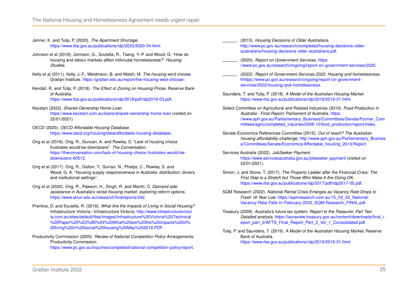- <span id="page-24-5"></span>Jenner, K. and Tulip, P. (2020). *The Apartment Shortage*. [https://www.rba.gov.au/publications/rdp/2020/2020-04.html.](https://www.rba.gov.au/publications/rdp/2020/2020-04.html)
- <span id="page-24-2"></span>Johnson et al (2018). Johnson, G., Scutella, R., Tseng, Y.-P. and Wood, G. "How do housing and labour markets affect indiviudal homelessness?" *Housing Studies*.
- <span id="page-24-8"></span>Kelly et al (2011). Kelly, J.-F., Weidmann, B. and Walsh, M. *The housing we'd choose*. Grattan Institute. [https://grattan.edu.au/report/the-housing-wed-choose/.](https://grattan.edu.au/report/the-housing-wed-choose/)
- <span id="page-24-4"></span>Kendall, R. and Tulip, P. (2018). *The Effect of Zoning on Housing Prices*. Reserve Bank of Australia.

[https://www.rba.gov.au/publications/rdp/2018/pdf/rdp2018-03.pdf.](https://www.rba.gov.au/publications/rdp/2018/pdf/rdp2018-03.pdf)

- <span id="page-24-17"></span>Keystart (2022). *Shared Ownership Home Loan*. <https://www.keystart.com.au/loans/shared-ownership-home-loan> (visited on 22/01/2021).
- <span id="page-24-6"></span>OECD (2020). *OECD Affordable Housing Database*. [https://www.oecd.org/housing/data/affordable-housing-database/.](https://www.oecd.org/housing/data/affordable-housing-database/)
- <span id="page-24-21"></span>Ong et al (2016). Ong, R., Duncan, A. and Rowley, S. "Lack of housing choice frustrates would-be downsizers". *The Conversation*. [https://theconversation.com/lack-of-housing-choice-frustrates-would-be](https://theconversation.com/lack-of-housing-choice-frustrates-would-be-downsizers-60512)[downsizers-60512.](https://theconversation.com/lack-of-housing-choice-frustrates-would-be-downsizers-60512)
- <span id="page-24-20"></span>Ong et al (2017). Ong, R., Dalton, T., Gurran, N., Phelps, C., Rowley, S. and Wood, G. A. "Housing supply responsiveness in Australia: distribution, drivers and institutional settings".
- <span id="page-24-15"></span>Ong et al (2020). Ong, R., Pawson, H., Singh, R. and Martin, C. *Demand side assistance in Australia's rental housing market: exploring reform options*. [https://www.ahuri.edu.au/research/finalreports/342.](https://www.ahuri.edu.au/research/finalreports/342)
- <span id="page-24-9"></span>Prentice, D. and Scutella, R. (2018). *What Are the Impacts of Living in Social Housing?* Infrastructure Victoria / Infrastructure Victoria. [http://www.infrastructurevictor](http://www.infrastructurevictoria.com.au/sites/default/files/images/Infrastructure%20Victoria%20Technical%20Paper%20%E2%80%93%20What%20are%20the%20impacts%20of%20living%20in%20social%20housing%20May%202018.PDF) [ia.com.au/sites/default/files/images/Infrastructure%20Victoria%20Technical](http://www.infrastructurevictoria.com.au/sites/default/files/images/Infrastructure%20Victoria%20Technical%20Paper%20%E2%80%93%20What%20are%20the%20impacts%20of%20living%20in%20social%20housing%20May%202018.PDF) [%20Paper%20%E2%80%93%20What%20are%20the%20impacts%20of%](http://www.infrastructurevictoria.com.au/sites/default/files/images/Infrastructure%20Victoria%20Technical%20Paper%20%E2%80%93%20What%20are%20the%20impacts%20of%20living%20in%20social%20housing%20May%202018.PDF) [20living%20in%20social%20housing%20May%202018.PDF.](http://www.infrastructurevictoria.com.au/sites/default/files/images/Infrastructure%20Victoria%20Technical%20Paper%20%E2%80%93%20What%20are%20the%20impacts%20of%20living%20in%20social%20housing%20May%202018.PDF)
- <span id="page-24-19"></span>Productivity Commission (2005). *Review of National Competition Policy Arrangements*. Productivity Commission. [https://www.pc.gov.au/inquiries/completed/national-competition-policy/report.](https://www.pc.gov.au/inquiries/completed/national-competition-policy/report)
- <span id="page-24-16"></span>(2015). *Housing Decisions of Older Australians*. [http://www.pc.gov.au/research/completed/housing-decisions-older](http://www.pc.gov.au/research/completed/housing-decisions-older-australians/housing-decisions-older-australians.pdf)[australians/housing-decisions-older-australians.pdf.](http://www.pc.gov.au/research/completed/housing-decisions-older-australians/housing-decisions-older-australians.pdf)
- <span id="page-24-10"></span>(2020). *Report on Government Services*. [https:](https://www.pc.gov.au/research/ongoing/report-on-government-services/2020) [//www.pc.gov.au/research/ongoing/report-on-government-services/2020.](https://www.pc.gov.au/research/ongoing/report-on-government-services/2020)
- <span id="page-24-11"></span>(2022). *Report of Government Services 2022: Housing and homelessness*. [hhttps://www.pc.gov.au/research/ongoing/report-on-government](hhttps://www.pc.gov.au/research/ongoing/report-on-government-services/2022/housing-and-homelessness)[services/2022/housing-and-homelessness.](hhttps://www.pc.gov.au/research/ongoing/report-on-government-services/2022/housing-and-homelessness)
- <span id="page-24-18"></span>Saunders, T. and Tulip, P. (2018). *A Model of the Australian Housing Market*. [https://www.rba.gov.au/publications/rdp/2019/2019-01.html.](https://www.rba.gov.au/publications/rdp/2019/2019-01.html)
- <span id="page-24-7"></span>Select Committee on Agricultural and Related Industries (2010). *Food Production in Australia - Final Report*. Parliament of Australia. [https:](https://www.aph.gov.au/Parliamentary_Business/Committees/Senate/Former_Committees/agric/completed_inquiries/2008-10/food_production/report/index) [//www.aph.gov.au/Parliamentary\\_Business/Committees/Senate/Former\\_Com](https://www.aph.gov.au/Parliamentary_Business/Committees/Senate/Former_Committees/agric/completed_inquiries/2008-10/food_production/report/index) [mittees/agric/completed\\_inquiries/2008-10/food\\_production/report/index.](https://www.aph.gov.au/Parliamentary_Business/Committees/Senate/Former_Committees/agric/completed_inquiries/2008-10/food_production/report/index)
- <span id="page-24-14"></span>Senate Economics References Committee (2015). *Out of reach? The Australian housing affordability challenge*. [http://www.aph.gov.au/Parliamentary\\_Busines](http://www.aph.gov.au/Parliamentary_Business/Committees/Senate/Economics/Affordable_housing_2013/Report) [s/Committees/Senate/Economics/Affordable\\_housing\\_2013/Report.](http://www.aph.gov.au/Parliamentary_Business/Committees/Senate/Economics/Affordable_housing_2013/Report)
- <span id="page-24-12"></span>Services Australia (2022). *JobSeeker Payment*. <https://www.servicesaustralia.gov.au/jobseeker-payment> (visited on 22/01/2021).
- <span id="page-24-1"></span>Simon, J. and Stone, T. (2017). *The Property Ladder after the Financial Crisis: The First Step is a Stretch but Those Who Make It Are Doing OK*. [https://www.rba.gov.au/publications/rdp/2017/pdf/rdp2017-05.pdf.](https://www.rba.gov.au/publications/rdp/2017/pdf/rdp2017-05.pdf)
- <span id="page-24-0"></span>SQM Research (2022). *National Rental Crisis Emerges as Vacancy Rate Drops to Fresh 16 Year Low*. [https://sqmresearch.com.au/15\\_03\\_22\\_National-](https://sqmresearch.com.au/15_03_22_National-Vacancy-Rate-Falls-In-February-2022_SQM-Research_FINAL.pdf)[Vacancy-Rate-Falls-In-February-2022\\_SQM-Research\\_FINAL.pdf.](https://sqmresearch.com.au/15_03_22_National-Vacancy-Rate-Falls-In-February-2022_SQM-Research_FINAL.pdf)
- <span id="page-24-13"></span>Treasury (2009). *Australia's future tax system, Report to the Treasurer, Part Two Detailed analysis*. [https://taxreview.treasury.gov.au/content/downloads/final\\_r](https://taxreview.treasury.gov.au/content/downloads/final_report_part_2/AFTS_Final_Report_Part_2_Vol_1_Consolidated.pdf) [eport\\_part\\_2/AFTS\\_Final\\_Report\\_Part\\_2\\_Vol\\_1\\_Consolidated.pdf.](https://taxreview.treasury.gov.au/content/downloads/final_report_part_2/AFTS_Final_Report_Part_2_Vol_1_Consolidated.pdf)
- <span id="page-24-3"></span>Tulip, P. and Saunders, T. (2019). *A Model of the Australian Housing Market*. Reserve Bank of Australia. [https://www.rba.gov.au/publications/rdp/2019/2019-01.html.](https://www.rba.gov.au/publications/rdp/2019/2019-01.html)